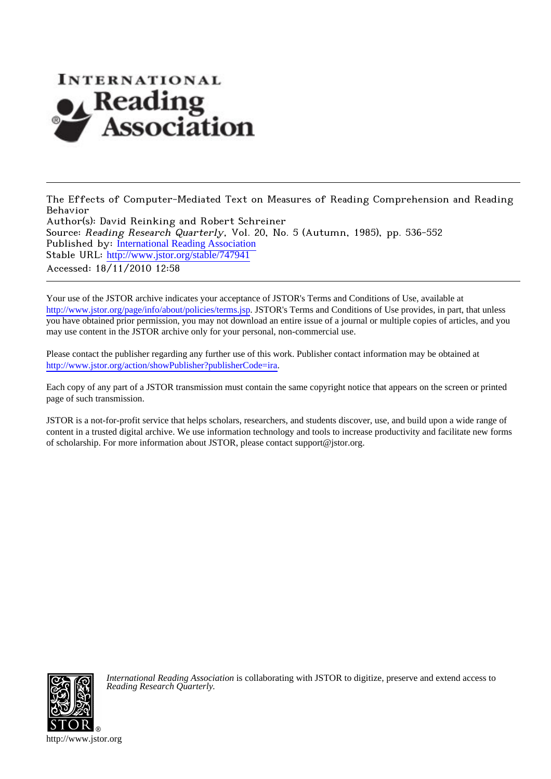

The Effects of Computer-Mediated Text on Measures of Reading Comprehension and Reading Behavior

Author(s): David Reinking and Robert Schreiner Source: Reading Research Quarterly, Vol. 20, No. 5 (Autumn, 1985), pp. 536-552 Published by: [International Reading Association](http://www.jstor.org/action/showPublisher?publisherCode=ira) Stable URL: [http://www.jstor.org/stable/747941](http://www.jstor.org/stable/747941?origin=JSTOR-pdf) Accessed: 18/11/2010 12:58

Your use of the JSTOR archive indicates your acceptance of JSTOR's Terms and Conditions of Use, available at <http://www.jstor.org/page/info/about/policies/terms.jsp>. JSTOR's Terms and Conditions of Use provides, in part, that unless you have obtained prior permission, you may not download an entire issue of a journal or multiple copies of articles, and you may use content in the JSTOR archive only for your personal, non-commercial use.

Please contact the publisher regarding any further use of this work. Publisher contact information may be obtained at [http://www.jstor.org/action/showPublisher?publisherCode=ira.](http://www.jstor.org/action/showPublisher?publisherCode=ira)

Each copy of any part of a JSTOR transmission must contain the same copyright notice that appears on the screen or printed page of such transmission.

JSTOR is a not-for-profit service that helps scholars, researchers, and students discover, use, and build upon a wide range of content in a trusted digital archive. We use information technology and tools to increase productivity and facilitate new forms of scholarship. For more information about JSTOR, please contact support@jstor.org.



*International Reading Association* is collaborating with JSTOR to digitize, preserve and extend access to *Reading Research Quarterly.*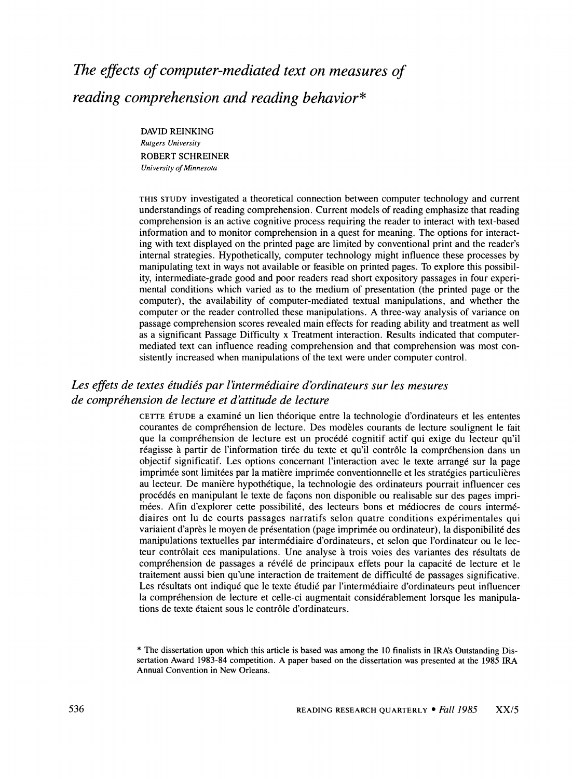# **The effects of computer-mediated text on measures of reading comprehension and reading behavior\***

**DAVID REINKING Rutgers University ROBERT SCHREINER University of Minnesota** 

**THIS STUDY investigated a theoretical connection between computer technology and current understandings of reading comprehension. Current models of reading emphasize that reading comprehension is an active cognitive process requiring the reader to interact with text-based information and to monitor comprehension in a quest for meaning. The options for interacting with text displayed on the printed page are limited by conventional print and the reader's internal strategies. Hypothetically, computer technology might influence these processes by manipulating text in ways not available or feasible on printed pages. To explore this possibility, intermediate-grade good and poor readers read short expository passages in four experimental conditions which varied as to the medium of presentation (the printed page or the computer), the availability of computer-mediated textual manipulations, and whether the computer or the reader controlled these manipulations. A three-way analysis of variance on passage comprehension scores revealed main effects for reading ability and treatment as well as a significant Passage Difficulty x Treatment interaction. Results indicated that computermediated text can influence reading comprehension and that comprehension was most consistently increased when manipulations of the text were under computer control.** 

# **Les effets de textes étudiés par l'intermédiaire d'ordinateurs sur les mesures** de compréhension de lecture et d'attitude de lecture

**CETTE ETUDE a examine un lien theorique entre la technologie d'ordinateurs et les ententes**  courantes de compréhension de lecture. Des modèles courants de lecture soulignent le fait **que la comprehension de lecture est un proc6d6 cognitif actif qui exige du lecteur qu'il**  réagisse à partir de l'information tirée du texte et qu'il contrôle la compréhension dans un **objectif significatif. Les options concernant l'interaction avec le texte arrang6 sur la page imprimee sont limit6es par la matibre imprim6e conventionnelle et les strat6gies particulieres au lecteur. De maniere hypoth6tique, la technologie des ordinateurs pourrait influencer ces proc6d6s en manipulant le texte de faqons non disponible ou realisable sur des pages imprim6es. Afin d'explorer cette possibilit6, des lecteurs bons et m6diocres de cours interm6 diaires ont lu de courts passages narratifs selon quatre conditions exp6rimentales qui**  variaient d'après le moyen de présentation (page imprimée ou ordinateur), la disponibilité des **manipulations textuelles par interm6diaire d'ordinateurs, et selon que l'ordinateur ou le lecteur contr6lait ces manipulations. Une analyse a trois voies des variantes des r6sultats de**  compréhension de passages a révélé de principaux effets pour la capacité de lecture et le **traitement aussi bien qu'une interaction de traitement de difficult6 de passages significative.**  Les résultats ont indiqué que le texte étudié par l'intermédiaire d'ordinateurs peut influencer la compréhension de lecture et celle-ci augmentait considérablement lorsque les manipula**tions de texte 6taient sous le contr6le d'ordinateurs.** 

**<sup>&</sup>quot;\* The dissertation upon which this article is based was among the 10 finalists in IRA's Outstanding Dissertation Award 1983-84 competition. A paper based on the dissertation was presented at the 1985 IRA Annual Convention in New Orleans.**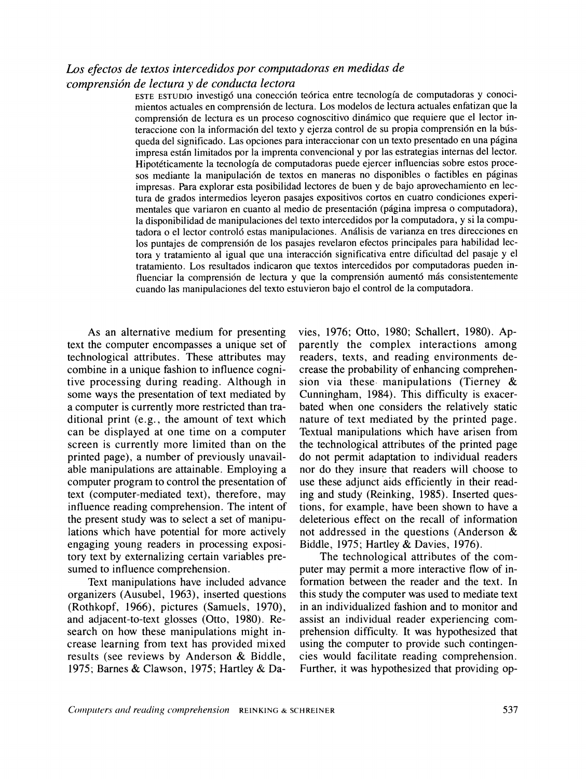# **Los efectos de textos intercedidos por computadoras en medidas de comprensi6n de lectura y de conducta lectora**

**ESTE ESTUDIO investig6 una conecci6n te6rica entre tecnologia de computadoras y conocimientos actuales en comprensi6n de lectura. Los modelos de lectura actuales enfatizan que la**  comprensión de lectura es un proceso cognoscitivo dinámico que requiere que el lector interaccione con la información del texto y ejerza control de su propia comprensión en la bús**queda del significado. Las opciones para interaccionar con un texto presentado en una pigina impresa estain limitados por la imprenta convencional y por las estrategias internas del lector. Hipot6ticamente la tecnologia de computadoras puede ejercer influencias sobre estos proce**sos mediante la manipulación de textos en maneras no disponibles o factibles en páginas **impresas. Para explorar esta posibilidad lectores de buen y de bajo aprovechamiento en lectura de grados intermedios leyeron pasajes expositivos cortos en cuatro condiciones experi**mentales que variaron en cuanto al medio de presentación (página impresa o computadora), **la disponibilidad de manipulaciones del texto intercedidos por la computadora, y si la compu**tadora o el lector controló estas manipulaciones. Análisis de varianza en tres direcciones en los puntajes de comprensión de los pasajes revelaron efectos principales para habilidad lectora y tratamiento al igual que una interacción significativa entre dificultad del pasaje y el **tratamiento. Los resultados indicaron que textos intercedidos por computadoras pueden in**fluenciar la comprensión de lectura y que la comprensión aumentó más consistentemente **cuando las manipulaciones del texto estuvieron bajo el control de la computadora.** 

**As an alternative medium for presenting text the computer encompasses a unique set of technological attributes. These attributes may combine in a unique fashion to influence cognitive processing during reading. Although in some ways the presentation of text mediated by a computer is currently more restricted than traditional print (e.g., the amount of text which can be displayed at one time on a computer screen is currently more limited than on the printed page), a number of previously unavailable manipulations are attainable. Employing a computer program to control the presentation of text (computer-mediated text), therefore, may influence reading comprehension. The intent of the present study was to select a set of manipulations which have potential for more actively engaging young readers in processing expository text by externalizing certain variables presumed to influence comprehension.** 

**Text manipulations have included advance organizers (Ausubel, 1963), inserted questions (Rothkopf, 1966), pictures (Samuels, 1970), and adjacent-to-text glosses (Otto, 1980). Research on how these manipulations might increase learning from text has provided mixed results (see reviews by Anderson & Biddle, 1975; Barnes & Clawson, 1975; Hartley & Da-** **vies, 1976; Otto, 1980; Schallert, 1980). Apparently the complex interactions among readers, texts, and reading environments decrease the probability of enhancing comprehension via these, manipulations (Tierney & Cunningham, 1984). This difficulty is exacerbated when one considers the relatively static nature of text mediated by the printed page. Textual manipulations which have arisen from the technological attributes of the printed page do not permit adaptation to individual readers nor do they insure that readers will choose to use these adjunct aids efficiently in their reading and study (Reinking, 1985). Inserted questions, for example, have been shown to have a deleterious effect on the recall of information not addressed in the questions (Anderson & Biddle, 1975; Hartley & Davies, 1976).** 

**The technological attributes of the computer may permit a more interactive flow of information between the reader and the text. In this study the computer was used to mediate text in an individualized fashion and to monitor and assist an individual reader experiencing comprehension difficulty. It was hypothesized that using the computer to provide such contingencies would facilitate reading comprehension. Further, it was hypothesized that providing op-**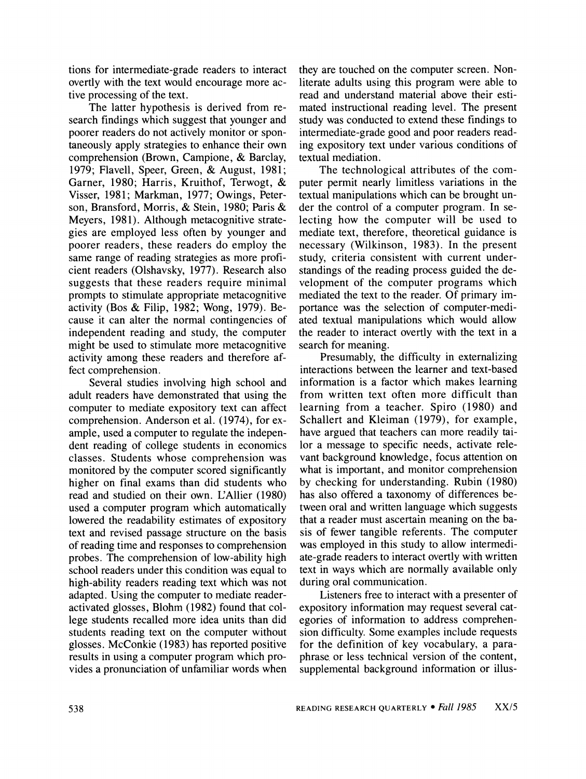**tions for intermediate-grade readers to interact overtly with the text would encourage more active processing of the text.** 

**The latter hypothesis is derived from research findings which suggest that younger and poorer readers do not actively monitor or spontaneously apply strategies to enhance their own comprehension (Brown, Campione, & Barclay, 1979; Flavell, Speer, Green, & August, 1981; Garner, 1980; Harris, Kruithof, Terwogt, & Visser, 1981; Markman, 1977; Owings, Peterson, Bransford, Morris, & Stein, 1980; Paris & Meyers, 1981). Although metacognitive strategies are employed less often by younger and poorer readers, these readers do employ the same range of reading strategies as more proficient readers (Olshavsky, 1977). Research also suggests that these readers require minimal prompts to stimulate appropriate metacognitive activity (Bos & Filip, 1982; Wong, 1979). Because it can alter the normal contingencies of independent reading and study, the computer might be used to stimulate more metacognitive activity among these readers and therefore affect comprehension.** 

**Several studies involving high school and adult readers have demonstrated that using the computer to mediate expository text can affect comprehension. Anderson et al. (1974), for example, used a computer to regulate the independent reading of college students in economics classes. Students whose comprehension was monitored by the computer scored significantly higher on final exams than did students who read and studied on their own. L'Allier (1980) used a computer program which automatically lowered the readability estimates of expository text and revised passage structure on the basis of reading time and responses to comprehension probes. The comprehension of low-ability high school readers under this condition was equal to high-ability readers reading text which was not adapted. Using the computer to mediate readeractivated glosses, Blohm (1982) found that college students recalled more idea units than did students reading text on the computer without glosses. McConkie (1983) has reported positive results in using a computer program which provides a pronunciation of unfamiliar words when**  **they are touched on the computer screen. Nonliterate adults using this program were able to read and understand material above their estimated instructional reading level. The present study was conducted to extend these findings to intermediate-grade good and poor readers reading expository text under various conditions of textual mediation.** 

**The technological attributes of the computer permit nearly limitless variations in the textual manipulations which can be brought under the control of a computer program. In selecting how the computer will be used to mediate text, therefore, theoretical guidance is necessary (Wilkinson, 1983). In the present study, criteria consistent with current understandings of the reading process guided the development of the computer programs which mediated the text to the reader. Of primary importance was the selection of computer-mediated textual manipulations which would allow the reader to interact overtly with the text in a search for meaning.** 

**Presumably, the difficulty in externalizing interactions between the learner and text-based information is a factor which makes learning from written text often more difficult than learning from a teacher. Spiro (1980) and Schallert and Kleiman (1979), for example, have argued that teachers can more readily tailor a message to specific needs, activate relevant background knowledge, focus attention on what is important, and monitor comprehension by checking for understanding. Rubin (1980) has also offered a taxonomy of differences between oral and written language which suggests that a reader must ascertain meaning on the basis of fewer tangible referents. The computer was employed in this study to allow intermediate-grade readers to interact overtly with written text in ways which are normally available only during oral communication.** 

**Listeners free to interact with a presenter of expository information may request several categories of information to address comprehension difficulty. Some examples include requests for the definition of key vocabulary, a paraphrase, or less technical version of the content, supplemental background information or illus-**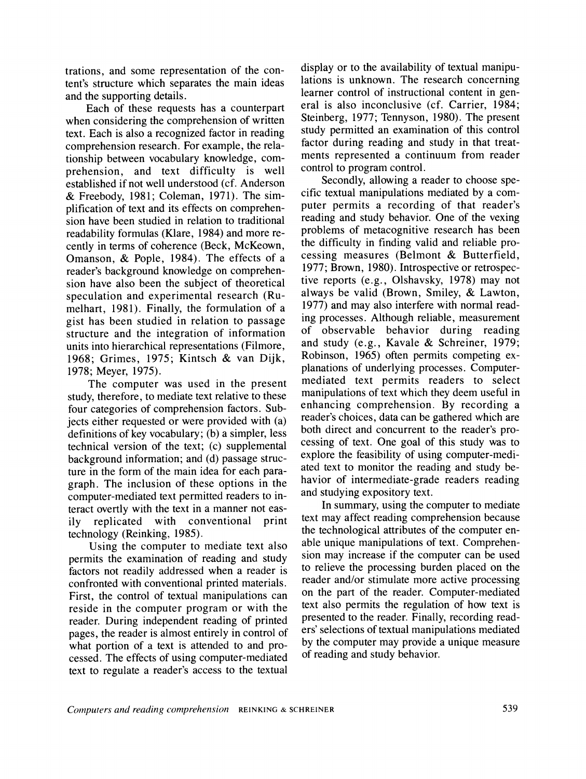**trations, and some representation of the content's structure which separates the main ideas and the supporting details.** 

**Each of these requests has a counterpart when considering the comprehension of written text. Each is also a recognized factor in reading comprehension research. For example, the relationship between vocabulary knowledge, comprehension, and text difficulty is well established if not well understood (cf. Anderson & Freebody, 1981; Coleman, 1971). The simplification of text and its effects on comprehension have been studied in relation to traditional readability formulas (Klare, 1984) and more recently in terms of coherence (Beck, McKeown, Omanson, & Pople, 1984). The effects of a reader's background knowledge on comprehension have also been the subject of theoretical speculation and experimental research (Rumelhart, 1981). Finally, the formulation of a gist has been studied in relation to passage structure and the integration of information units into hierarchical representations (Filmore, 1968; Grimes, 1975; Kintsch & van Dijk, 1978; Meyer, 1975).** 

**The computer was used in the present study, therefore, to mediate text relative to these four categories of comprehension factors. Subjects either requested or were provided with (a) definitions of key vocabulary; (b) a simpler, less technical version of the text; (c) supplemental background information; and (d) passage structure in the form of the main idea for each paragraph. The inclusion of these options in the computer-mediated text permitted readers to interact overtly with the text in a manner not eas**ily replicated with conventional **technology (Reinking, 1985).** 

**Using the computer to mediate text also permits the examination of reading and study factors not readily addressed when a reader is confronted with conventional printed materials. First, the control of textual manipulations can reside in the computer program or with the reader. During independent reading of printed pages, the reader is almost entirely in control of what portion of a text is attended to and processed. The effects of using computer-mediated text to regulate a reader's access to the textual**  **display or to the availability of textual manipulations is unknown. The research concerning learner control of instructional content in general is also inconclusive (cf. Carrier, 1984; Steinberg, 1977; Tennyson, 1980). The present study permitted an examination of this control factor during reading and study in that treatments represented a continuum from reader control to program control.** 

**Secondly, allowing a reader to choose specific textual manipulations mediated by a computer permits a recording of that reader's reading and study behavior. One of the vexing problems of metacognitive research has been the difficulty in finding valid and reliable processing measures (Belmont & Butterfield, 1977; Brown, 1980). Introspective or retrospective reports (e.g., Olshavsky, 1978) may not always be valid (Brown, Smiley, & Lawton, 1977) and may also interfere with normal reading processes. Although reliable, measurement of observable behavior during reading and study (e.g., Kavale & Schreiner, 1979; Robinson, 1965) often permits competing explanations of underlying processes. Computermediated text permits readers to select manipulations of text which they deem useful in enhancing comprehension. By recording a reader's choices, data can be gathered which are both direct and concurrent to the reader's processing of text. One goal of this study was to explore the feasibility of using computer-mediated text to monitor the reading and study behavior of intermediate-grade readers reading and studying expository text.** 

**In summary, using the computer to mediate text may affect reading comprehension because the technological attributes of the computer enable unique manipulations of text. Comprehension may increase if the computer can be used to relieve the processing burden placed on the reader and/or stimulate more active processing on the part of the reader. Computer-mediated text also permits the regulation of how text is presented to the reader. Finally, recording readers' selections of textual manipulations mediated by the computer may provide a unique measure of reading and study behavior.**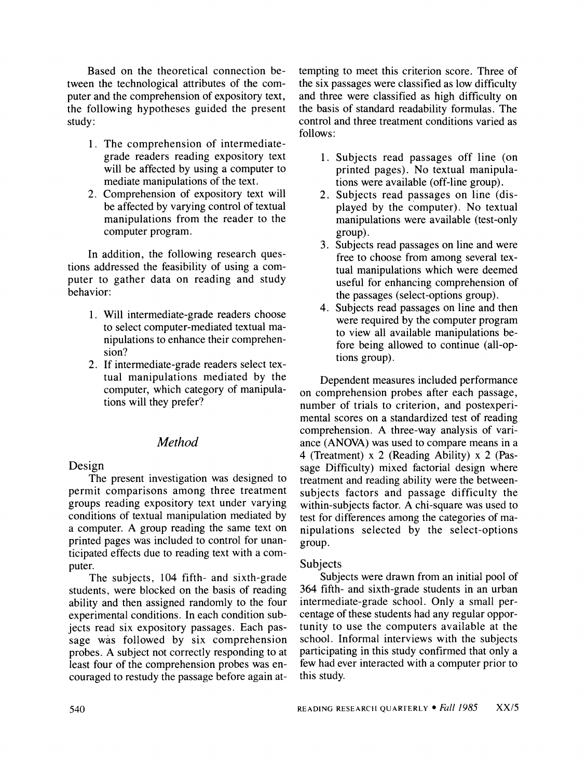**Based on the theoretical connection between the technological attributes of the computer and the comprehension of expository text, the following hypotheses guided the present study:** 

- **1. The comprehension of intermediategrade readers reading expository text will be affected by using a computer to mediate manipulations of the text.**
- **2. Comprehension of expository text will be affected by varying control of textual manipulations from the reader to the computer program.**

**In addition, the following research questions addressed the feasibility of using a computer to gather data on reading and study behavior:** 

- **1. Will intermediate-grade readers choose to select computer-mediated textual manipulations to enhance their comprehension?**
- **2. If intermediate-grade readers select textual manipulations mediated by the computer, which category of manipulations will they prefer?**

# **Method**

**Design** 

**The present investigation was designed to permit comparisons among three treatment groups reading expository text under varying conditions of textual manipulation mediated by a computer. A group reading the same text on printed pages was included to control for unanticipated effects due to reading text with a computer.** 

**The subjects, 104 fifth- and sixth-grade students, were blocked on the basis of reading ability and then assigned randomly to the four experimental conditions. In each condition subjects read six expository passages. Each passage was followed by six comprehension probes. A subject not correctly responding to at least four of the comprehension probes was encouraged to restudy the passage before again at-** **tempting to meet this criterion score. Three of the six passages were classified as low difficulty and three were classified as high difficulty on the basis of standard readability formulas. The control and three treatment conditions varied as follows:** 

- **1. Subjects read passages off line (on printed pages). No textual manipulations were available (off-line group).**
- **2. Subjects read passages on line (displayed by the computer). No textual manipulations were available (test-only group).**
- **3. Subjects read passages on line and were free to choose from among several textual manipulations which were deemed useful for enhancing comprehension of the passages (select-options group).**
- **4. Subjects read passages on line and then were required by the computer program to view all available manipulations before being allowed to continue (all-options group).**

**Dependent measures included performance on comprehension probes after each passage, number of trials to criterion, and postexperimental scores on a standardized test of reading comprehension. A three-way analysis of variance (ANOVA) was used to compare means in a 4 (Treatment) x 2 (Reading Ability) x 2 (Passage Difficulty) mixed factorial design where treatment and reading ability were the betweensubjects factors and passage difficulty the within-subjects factor. A chi-square was used to test for differences among the categories of manipulations selected by the select-options group.** 

## **Subjects**

**Subjects were drawn from an initial pool of 364 fifth- and sixth-grade students in an urban intermediate-grade school. Only a small percentage of these students had any regular opportunity to use the computers available at the school. Informal interviews with the subjects participating in this study confirmed that only a few had ever interacted with a computer prior to this study.**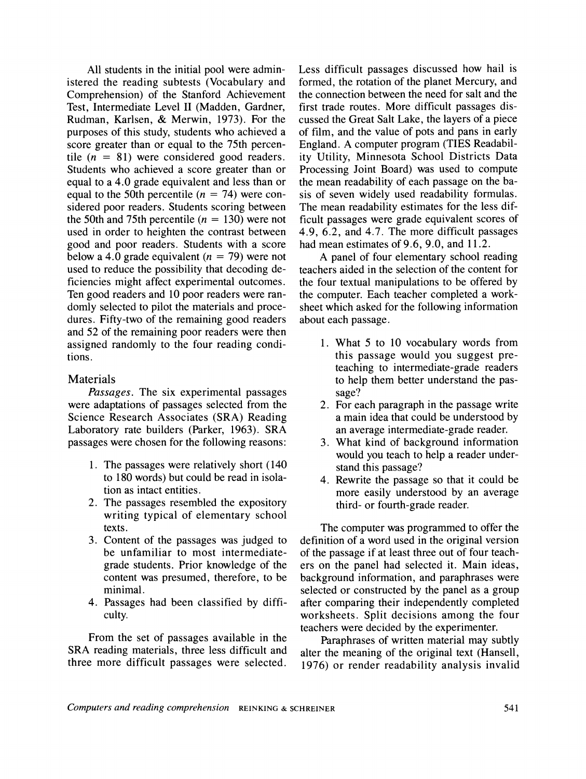**All students in the initial pool were administered the reading subtests (Vocabulary and Comprehension) of the Stanford Achievement Test, Intermediate Level II (Madden, Gardner, Rudman, Karlsen, & Merwin, 1973). For the purposes of this study, students who achieved a score greater than or equal to the 75th percen**tile  $(n = 81)$  were considered good readers. **Students who achieved a score greater than or equal to a 4.0 grade equivalent and less than or**  equal to the 50th percentile  $(n = 74)$  were con**sidered poor readers. Students scoring between**  the 50th and 75th percentile  $(n = 130)$  were not **used in order to heighten the contrast between good and poor readers. Students with a score**  below a 4.0 grade equivalent  $(n = 79)$  were not **used to reduce the possibility that decoding deficiencies might affect experimental outcomes. Ten good readers and 10 poor readers were randomly selected to pilot the materials and procedures. Fifty-two of the remaining good readers and 52 of the remaining poor readers were then assigned randomly to the four reading conditions.** 

# **Materials**

**Passages. The six experimental passages were adaptations of passages selected from the Science Research Associates (SRA) Reading Laboratory rate builders (Parker, 1963). SRA passages were chosen for the following reasons:** 

- **1. The passages were relatively short (140 to 180 words) but could be read in isolation as intact entities.**
- **2. The passages resembled the expository writing typical of elementary school texts.**
- **3. Content of the passages was judged to be unfamiliar to most intermediategrade students. Prior knowledge of the content was presumed, therefore, to be minimal.**
- **4. Passages had been classified by difficulty.**

**From the set of passages available in the SRA reading materials, three less difficult and three more difficult passages were selected.** 

**Less difficult passages discussed how hail is formed, the rotation of the planet Mercury, and the connection between the need for salt and the first trade routes. More difficult passages discussed the Great Salt Lake, the layers of a piece of film, and the value of pots and pans in early England. A computer program (TIES Readability Utility, Minnesota School Districts Data Processing Joint Board) was used to compute the mean readability of each passage on the basis of seven widely used readability formulas. The mean readability estimates for the less difficult passages were grade equivalent scores of 4.9, 6.2, and 4.7. The more difficult passages had mean estimates of 9.6, 9.0, and 11.2.** 

**A panel of four elementary school reading teachers aided in the selection of the content for the four textual manipulations to be offered by the computer. Each teacher completed a worksheet which asked for the following information about each passage.** 

- **1. What 5 to 10 vocabulary words from this passage would you suggest preteaching to intermediate-grade readers to help them better understand the passage?**
- **2. For each paragraph in the passage write a main idea that could be understood by an average intermediate-grade reader.**
- **3. What kind of background information would you teach to help a reader understand this passage?**
- **4. Rewrite the passage so that it could be more easily understood by an average third- or fourth-grade reader.**

**The computer was programmed to offer the definition of a word used in the original version of the passage if at least three out of four teachers on the panel had selected it. Main ideas, background information, and paraphrases were selected or constructed by the panel as a group after comparing their independently completed worksheets. Split decisions among the four teachers were decided by the experimenter.** 

**Paraphrases of written material may subtly alter the meaning of the original text (Hansell, 1976) or render readability analysis invalid**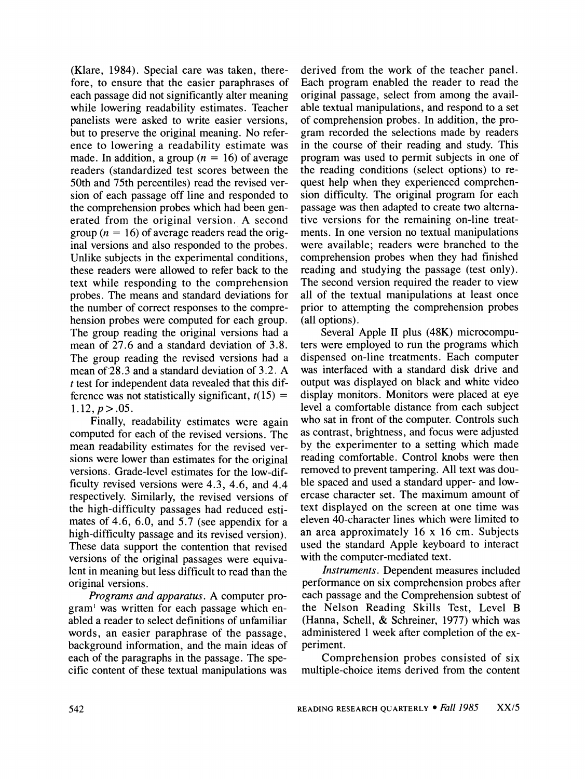**(Klare, 1984). Special care was taken, therefore, to ensure that the easier paraphrases of each passage did not significantly alter meaning while lowering readability estimates. Teacher panelists were asked to write easier versions, but to preserve the original meaning. No reference to lowering a readability estimate was**  made. In addition, a group  $(n = 16)$  of average **readers (standardized test scores between the 50th and 75th percentiles) read the revised version of each passage off line and responded to the comprehension probes which had been generated from the original version. A second group (n = 16) of average readers read the original versions and also responded to the probes. Unlike subjects in the experimental conditions, these readers were allowed to refer back to the text while responding to the comprehension probes. The means and standard deviations for the number of correct responses to the comprehension probes were computed for each group. The group reading the original versions had a mean of 27.6 and a standard deviation of 3.8. The group reading the revised versions had a mean of 28.3 and a standard deviation of 3.2. A t test for independent data revealed that this dif**ference was not statistically significant,  $t(15)$  =  $1.12, p > .05.$ 

**Finally, readability estimates were again computed for each of the revised versions. The mean readability estimates for the revised versions were lower than estimates for the original versions. Grade-level estimates for the low-difficulty revised versions were 4.3, 4.6, and 4.4 respectively. Similarly, the revised versions of the high-difficulty passages had reduced estimates of 4.6, 6.0, and 5.7 (see appendix for a high-difficulty passage and its revised version). These data support the contention that revised versions of the original passages were equivalent in meaning but less difficult to read than the original versions.** 

**Programs and apparatus. A computer program' was written for each passage which enabled a reader to select definitions of unfamiliar words, an easier paraphrase of the passage, background information, and the main ideas of each of the paragraphs in the passage. The specific content of these textual manipulations was** 

**derived from the work of the teacher panel. Each program enabled the reader to read the original passage, select from among the available textual manipulations, and respond to a set of comprehension probes. In addition, the program recorded the selections made by readers in the course of their reading and study. This program was used to permit subjects in one of the reading conditions (select options) to request help when they experienced comprehension difficulty. The original program for each passage was then adapted to create two alternative versions for the remaining on-line treatments. In one version no textual manipulations were available; readers were branched to the comprehension probes when they had finished reading and studying the passage (test only). The second version required the reader to view all of the textual manipulations at least once prior to attempting the comprehension probes (all options).** 

**Several Apple II plus (48K) microcomputers were employed to run the programs which dispensed on-line treatments. Each computer was interfaced with a standard disk drive and output was displayed on black and white video display monitors. Monitors were placed at eye level a comfortable distance from each subject who sat in front of the computer. Controls such as contrast, brightness, and focus were adjusted by the experimenter to a setting which made reading comfortable. Control knobs were then removed to prevent tampering. All text was double spaced and used a standard upper- and lowercase character set. The maximum amount of text displayed on the screen at one time was eleven 40-character lines which were limited to an area approximately 16 x 16 cm. Subjects used the standard Apple keyboard to interact with the computer-mediated text.** 

**Instruments. Dependent measures included performance on six comprehension probes after each passage and the Comprehension subtest of the Nelson Reading Skills Test, Level B (Hanna, Schell, & Schreiner, 1977) which was administered 1 week after completion of the experiment.** 

**Comprehension probes consisted of six multiple-choice items derived from the content**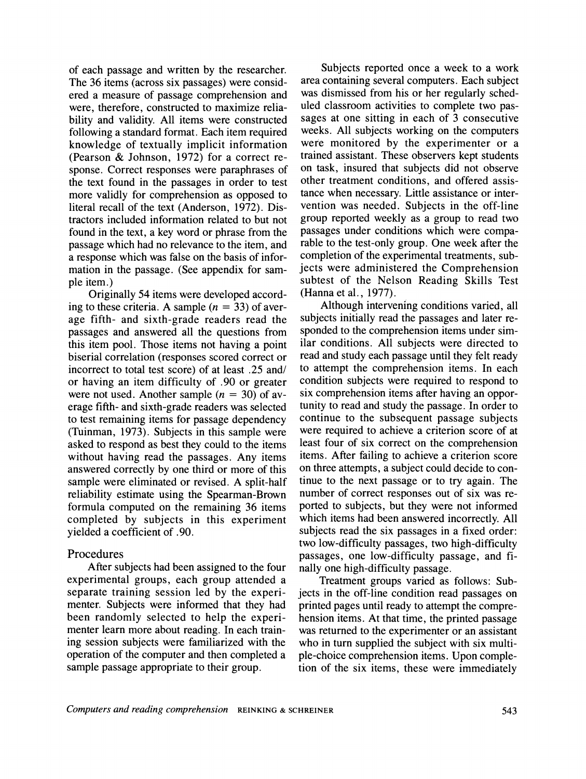**of each passage and written by the researcher. The 36 items (across six passages) were considered a measure of passage comprehension and were, therefore, constructed to maximize reliability and validity. All items were constructed following a standard format. Each item required knowledge of textually implicit information (Pearson & Johnson, 1972) for a correct response. Correct responses were paraphrases of the text found in the passages in order to test more validly for comprehension as opposed to literal recall of the text (Anderson, 1972). Distractors included information related to but not found in the text, a key word or phrase from the passage which had no relevance to the item, and a response which was false on the basis of information in the passage. (See appendix for sample item.)** 

**Originally 54 items were developed accord**ing to these criteria. A sample  $(n = 33)$  of aver**age fifth- and sixth-grade readers read the passages and answered all the questions from this item pool. Those items not having a point biserial correlation (responses scored correct or incorrect to total test score) of at least .25 and/ or having an item difficulty of .90 or greater were not used. Another sample (n = 30) of average fifth- and sixth-grade readers was selected to test remaining items for passage dependency (Tuinman, 1973). Subjects in this sample were asked to respond as best they could to the items without having read the passages. Any items answered correctly by one third or more of this sample were eliminated or revised. A split-half reliability estimate using the Spearman-Brown formula computed on the remaining 36 items completed by subjects in this experiment yielded a coefficient of .90.** 

## **Procedures**

**After subjects had been assigned to the four experimental groups, each group attended a separate training session led by the experimenter. Subjects were informed that they had been randomly selected to help the experimenter learn more about reading. In each training session subjects were familiarized with the operation of the computer and then completed a sample passage appropriate to their group.** 

**Subjects reported once a week to a work area containing several computers. Each subject was dismissed from his or her regularly scheduled classroom activities to complete two passages at one sitting in each of 3 consecutive weeks. All subjects working on the computers were monitored by the experimenter or a trained assistant. These observers kept students on task, insured that subjects did not observe other treatment conditions, and offered assistance when necessary. Little assistance or intervention was needed. Subjects in the off-line group reported weekly as a group to read two passages under conditions which were comparable to the test-only group. One week after the completion of the experimental treatments, subjects were administered the Comprehension subtest of the Nelson Reading Skills Test (Hanna et al., 1977).** 

**Although intervening conditions varied, all subjects initially read the passages and later responded to the comprehension items under similar conditions. All subjects were directed to read and study each passage until they felt ready to attempt the comprehension items. In each condition subjects were required to respond to six comprehension items after having an opportunity to read and study the passage. In order to continue to the subsequent passage subjects were required to achieve a criterion score of at least four of six correct on the comprehension items. After failing to achieve a criterion score on three attempts, a subject could decide to continue to the next passage or to try again. The number of correct responses out of six was reported to subjects, but they were not informed which items had been answered incorrectly. All subjects read the six passages in a fixed order: two low-difficulty passages, two high-difficulty passages, one low-difficulty passage, and finally one high-difficulty passage.** 

**Treatment groups varied as follows: Subjects in the off-line condition read passages on printed pages until ready to attempt the comprehension items. At that time, the printed passage was returned to the experimenter or an assistant who in turn supplied the subject with six multiple-choice comprehension items. Upon completion of the six items, these were immediately**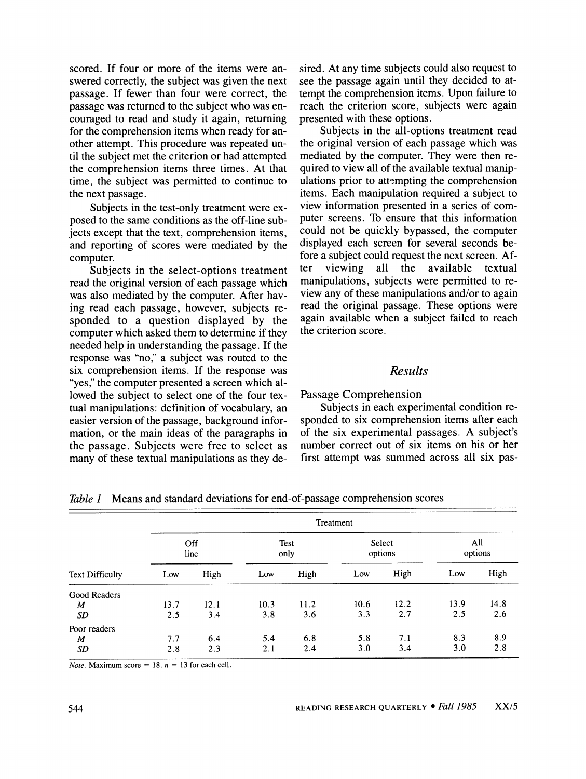**scored. If four or more of the items were answered correctly, the subject was given the next passage. If fewer than four were correct, the passage was returned to the subject who was encouraged to read and study it again, returning for the comprehension items when ready for another attempt. This procedure was repeated until the subject met the criterion or had attempted the comprehension items three times. At that time, the subject was permitted to continue to the next passage.** 

**Subjects in the test-only treatment were exposed to the same conditions as the off-line subjects except that the text, comprehension items, and reporting of scores were mediated by the computer.** 

**Subjects in the select-options treatment read the original version of each passage which was also mediated by the computer. After having read each passage, however, subjects responded to a question displayed by the computer which asked them to determine if they needed help in understanding the passage. If the response was "no," a subject was routed to the six comprehension items. If the response was**  "yes," the computer presented a screen which al**lowed the subject to select one of the four textual manipulations: definition of vocabulary, an easier version of the passage, background information, or the main ideas of the paragraphs in the passage. Subjects were free to select as many of these textual manipulations as they de-** **sired. At any time subjects could also request to see the passage again until they decided to attempt the comprehension items. Upon failure to reach the criterion score, subjects were again presented with these options.** 

**Subjects in the all-options treatment read the original version of each passage which was mediated by the computer. They were then required to view all of the available textual manip**ulations prior to attempting the comprehension **items. Each manipulation required a subject to view information presented in a series of computer screens. To ensure that this information could not be quickly bypassed, the computer displayed each screen for several seconds be**fore a subject could request the next screen. After viewing all the available textual viewing all the available textual **manipulations, subjects were permitted to review any of these manipulations and/or to again read the original passage. These options were again available when a subject failed to reach the criterion score.** 

# **Results**

**Passage Comprehension** 

**Subjects in each experimental condition responded to six comprehension items after each of the six experimental passages. A subject's number correct out of six items on his or her first attempt was summed across all six pas-**

| <b>Text Difficulty</b> | Treatment   |      |              |      |                   |      |                |      |  |
|------------------------|-------------|------|--------------|------|-------------------|------|----------------|------|--|
|                        | Off<br>line |      | Test<br>only |      | Select<br>options |      | All<br>options |      |  |
|                        | Low         | High | Low          | High | Low               | High | Low            | High |  |
| Good Readers           |             |      |              |      |                   |      |                |      |  |
| M                      | 13.7        | 12.1 | 10.3         | 11.2 | 10.6              | 12.2 | 13.9           | 14.8 |  |
| SD                     | 2.5         | 3.4  | 3.8          | 3.6  | 3.3               | 2.7  | 2.5            | 2.6  |  |
| Poor readers           |             |      |              |      |                   |      |                |      |  |
| M                      | 7.7         | 6.4  | 5.4          | 6.8  | 5.8               | 7.1  | 8.3            | 8.9  |  |
| SD                     | 2.8         | 2.3  | 2.1          | 2.4  | 3.0               | 3.4  | 3.0            | 2.8  |  |

**Table 1 Means and standard deviations for end-of-passage comprehension scores** 

*Note.* Maximum score = 18.  $n = 13$  for each cell.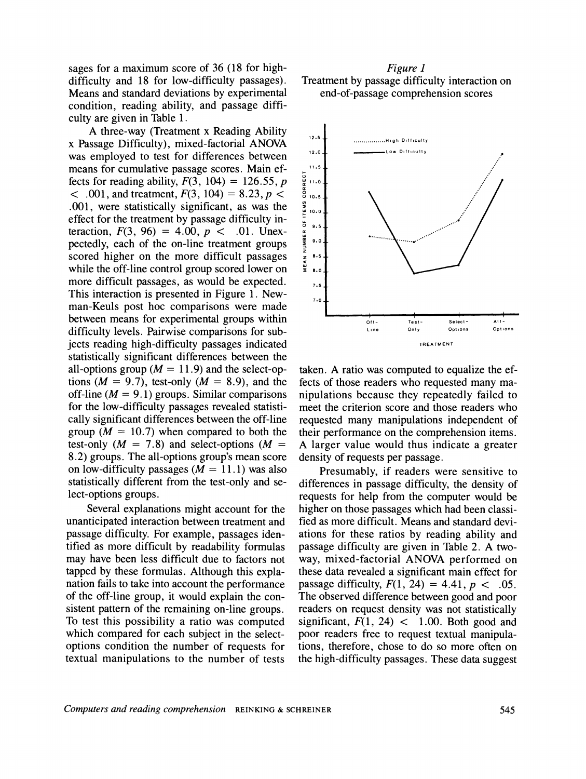**sages for a maximum score of 36 (18 for highdifficulty and 18 for low-difficulty passages). Means and standard deviations by experimental condition, reading ability, and passage difficulty are given in Table 1.** 

**A three-way (Treatment x Reading Ability x Passage Difficulty), mixed-factorial ANOVA was employed to test for differences between means for cumulative passage scores. Main effects for reading ability, F(3, 104) = 126.55, p**   $\leq$  .001, and treatment,  $F(3, 104) = 8.23$ ,  $p \leq$ **.001, were statistically significant, as was the effect for the treatment by passage difficulty in**teraction,  $F(3, 96) = 4.00, p < .01$ . Unex**pectedly, each of the on-line treatment groups scored higher on the more difficult passages while the off-line control group scored lower on more difficult passages, as would be expected. This interaction is presented in Figure 1. Newman-Keuls post hoc comparisons were made between means for experimental groups within difficulty levels. Pairwise comparisons for subjects reading high-difficulty passages indicated statistically significant differences between the**  all-options group  $(M = 11.9)$  and the select-options  $(M = 9.7)$ , test-only  $(M = 8.9)$ , and the **off-line (M = 9.1) groups. Similar comparisons for the low-difficulty passages revealed statistically significant differences between the off-line**  group ( $M = 10.7$ ) when compared to both the test-only  $(M = 7.8)$  and select-options  $(M = 1.8)$ **8.2) groups. The all-options group's mean score on low-difficulty passages (M = 11.1) was also statistically different from the test-only and select-options groups.** 

**Several explanations might account for the unanticipated interaction between treatment and passage difficulty. For example, passages identified as more difficult by readability formulas may have been less difficult due to factors not tapped by these formulas. Although this explanation fails to take into account the performance of the off-line group, it would explain the consistent pattern of the remaining on-line groups. To test this possibility a ratio was computed which compared for each subject in the selectoptions condition the number of requests for textual manipulations to the number of tests** 

## **Figure 1 Treatment by passage difficulty interaction on end-of-passage comprehension scores**



**taken. A ratio was computed to equalize the effects of those readers who requested many manipulations because they repeatedly failed to meet the criterion score and those readers who requested many manipulations independent of their performance on the comprehension items. A larger value would thus indicate a greater density of requests per passage.** 

**Presumably, if readers were sensitive to differences in passage difficulty, the density of requests for help from the computer would be higher on those passages which had been classified as more difficult. Means and standard deviations for these ratios by reading ability and passage difficulty are given in Table 2. A twoway, mixed-factorial ANOVA performed on these data revealed a significant main effect for passage difficulty,**  $F(1, 24) = 4.41$ **,**  $p < .05$ **. The observed difference between good and poor readers on request density was not statistically**  significant,  $F(1, 24) < 1.00$ . Both good and **poor readers free to request textual manipulations, therefore, chose to do so more often on the high-difficulty passages. These data suggest**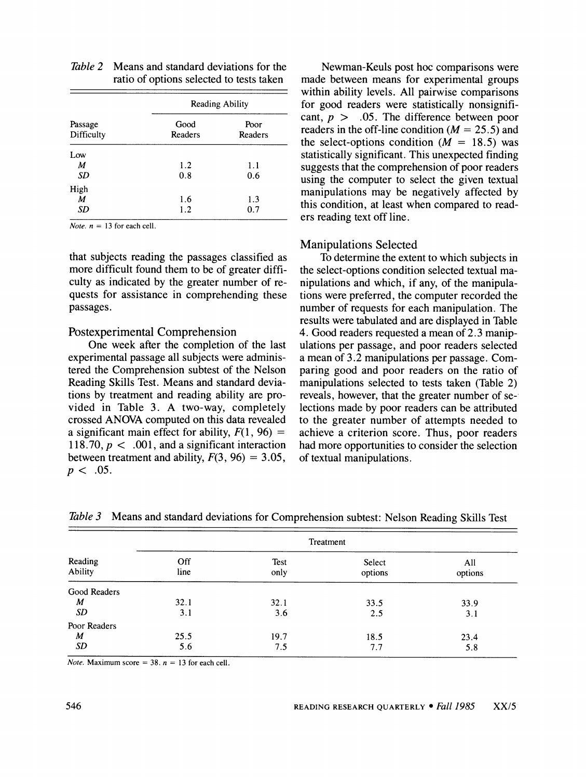| Passage<br>Difficulty | Reading Ability        |                 |  |  |
|-----------------------|------------------------|-----------------|--|--|
|                       | Good<br><b>Readers</b> | Poor<br>Readers |  |  |
| Low                   |                        |                 |  |  |
| M                     | 1.2                    | 1.1             |  |  |
| SD                    | 0.8                    | 0.6             |  |  |
| High                  |                        |                 |  |  |
| M                     | 1.6                    | 1.3             |  |  |
| SD                    | 1.2                    | 0.7             |  |  |

| <i>Table 2</i> Means and standard deviations for the |
|------------------------------------------------------|
| ratio of options selected to tests taken             |

*Note.*  $n = 13$  for each cell.

**that subjects reading the passages classified as more difficult found them to be of greater difficulty as indicated by the greater number of requests for assistance in comprehending these passages.** 

### **Postexperimental Comprehension**

**One week after the completion of the last experimental passage all subjects were administered the Comprehension subtest of the Nelson Reading Skills Test. Means and standard deviations by treatment and reading ability are provided in Table 3. A two-way, completely crossed ANOVA computed on this data revealed**  a significant main effect for ability,  $F(1, 96) =$ **118.70, p < .001, and a significant interaction**  between treatment and ability,  $F(3, 96) = 3.05$ ,  $p < .05$ .

**Newman-Keuls post hoc comparisons were made between means for experimental groups within ability levels. All pairwise comparisons for good readers were statistically nonsignificant, p > .05. The difference between poor**  readers in the off-line condition  $(M = 25.5)$  and the select-options condition  $(M = 18.5)$  was **statistically significant. This unexpected finding suggests that the comprehension of poor readers using the computer to select the given textual manipulations may be negatively affected by this condition, at least when compared to readers reading text off line.** 

## **Manipulations Selected**

**To determine the extent to which subjects in the select-options condition selected textual manipulations and which, if any, of the manipulations were preferred, the computer recorded the number of requests for each manipulation. The results were tabulated and are displayed in Table 4. Good readers requested a mean of 2.3 manipulations per passage, and poor readers selected a mean of 3.2 manipulations per passage. Comparing good and poor readers on the ratio of manipulations selected to tests taken (Table 2) reveals, however, that the greater number of selections made by poor readers can be attributed to the greater number of attempts needed to achieve a criterion score. Thus, poor readers had more opportunities to consider the selection of textual manipulations.** 

| Reading<br>Ability | Treatment   |              |                   |                |  |  |  |  |
|--------------------|-------------|--------------|-------------------|----------------|--|--|--|--|
|                    | Off<br>line | Test<br>only | Select<br>options | All<br>options |  |  |  |  |
| Good Readers       |             |              |                   |                |  |  |  |  |
| M                  | 32.1        | 32.1         | 33.5              | 33.9           |  |  |  |  |
| SD                 | 3.1         | 3.6          | 2.5               | 3.1            |  |  |  |  |
| Poor Readers       |             |              |                   |                |  |  |  |  |
| M                  | 25.5        | 19.7         | 18.5              | 23.4           |  |  |  |  |
| SD                 | 5.6         | 7.5          | 7.7               | 5.8            |  |  |  |  |

**Table 3 Means and standard deviations for Comprehension subtest: Nelson Reading Skills Test** 

*Note.* Maximum score =  $38. n = 13$  for each cell.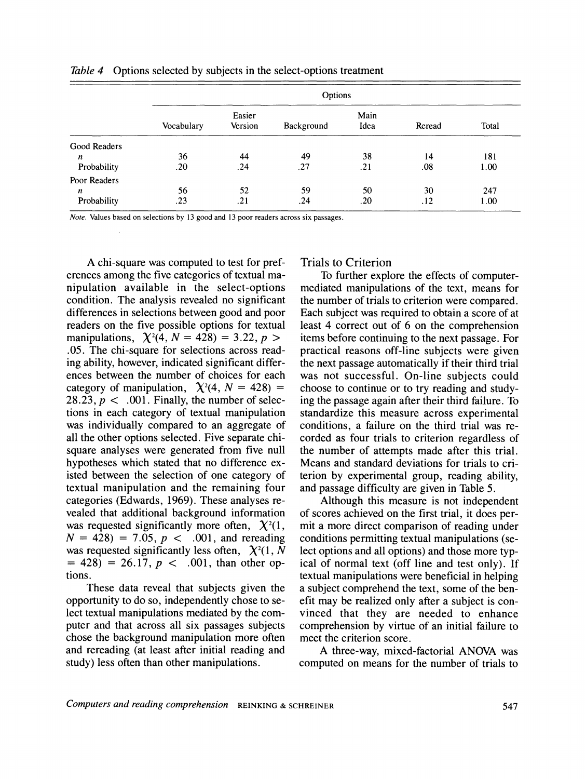|                  |            | Options           |            |              |        |       |  |  |
|------------------|------------|-------------------|------------|--------------|--------|-------|--|--|
|                  | Vocabulary | Easier<br>Version | Background | Main<br>Idea | Reread | Total |  |  |
| Good Readers     |            |                   |            |              |        |       |  |  |
| n                | 36         | 44                | 49         | 38           | 14     | 181   |  |  |
| Probability      | .20        | .24               | .27        | .21          | .08    | 1.00  |  |  |
| Poor Readers     |            |                   |            |              |        |       |  |  |
| $\boldsymbol{n}$ | 56         | 52                | 59         | 50           | 30     | 247   |  |  |
| Probability      | .23        | .21               | .24        | .20          | .12    | 1.00  |  |  |

**Table 4 Options selected by subjects in the select-options treatment** 

**Note. Values based on selections by 13 good and 13 poor readers across six passages.** 

**A chi-square was computed to test for preferences among the five categories of textual manipulation available in the select-options condition. The analysis revealed no significant differences in selections between good and poor readers on the five possible options for textual**  manipulations,  $\chi^2(4, N = 428) = 3.22, p >$ **.05. The chi-square for selections across reading ability, however, indicated significant differences between the number of choices for each**  category of manipulation,  $\chi^2(4, N = 428)$  = **28.23, p < .001. Finally, the number of selections in each category of textual manipulation was individually compared to an aggregate of all the other options selected. Five separate chisquare analyses were generated from five null hypotheses which stated that no difference existed between the selection of one category of textual manipulation and the remaining four categories (Edwards, 1969). These analyses revealed that additional background information**  was requested significantly more often,  $\chi^2(1)$ ,  $N = 428$ ) = 7.05,  $p < .001$ , and rereading was requested significantly less often,  $\chi^2(1, N)$  $= 428$ ) = 26.17,  $p < .001$ , than other op**tions.** 

**These data reveal that subjects given the opportunity to do so, independently chose to select textual manipulations mediated by the computer and that across all six passages subjects chose the background manipulation more often and rereading (at least after initial reading and study) less often than other manipulations.** 

### **Trials to Criterion**

**To further explore the effects of computermediated manipulations of the text, means for the number of trials to criterion were compared. Each subject was required to obtain a score of at least 4 correct out of 6 on the comprehension items before continuing to the next passage. For practical reasons off-line subjects were given the next passage automatically if their third trial was not successful. On-line subjects could choose to continue or to try reading and studying the passage again after their third failure. To standardize this measure across experimental conditions, a failure on the third trial was recorded as four trials to criterion regardless of the number of attempts made after this trial. Means and standard deviations for trials to criterion by experimental group, reading ability, and passage difficulty are given in Table 5.** 

**Although this measure is not independent of scores achieved on the first trial, it does permit a more direct comparison of reading under conditions permitting textual manipulations (select options and all options) and those more typical of normal text (off line and test only). If textual manipulations were beneficial in helping a subject comprehend the text, some of the benefit may be realized only after a subject is convinced that they are needed to enhance comprehension by virtue of an initial failure to meet the criterion score.** 

**A three-way, mixed-factorial ANOVA was computed on means for the number of trials to**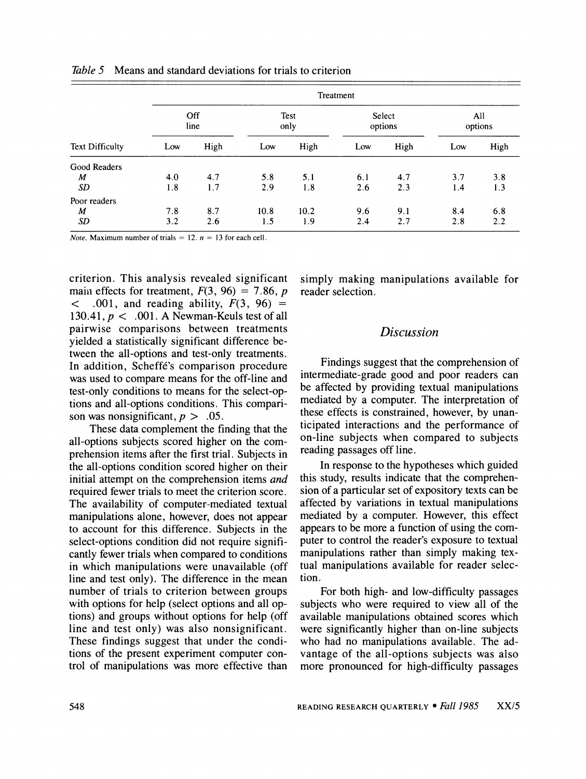| <b>Text Difficulty</b> |             | Treatment |              |      |                   |      |                |      |  |  |
|------------------------|-------------|-----------|--------------|------|-------------------|------|----------------|------|--|--|
|                        | Off<br>line |           | Test<br>only |      | Select<br>options |      | All<br>options |      |  |  |
|                        | Low         | High      | Low          | High | Low               | High | Low            | High |  |  |
| Good Readers           |             |           |              |      |                   |      |                |      |  |  |
| M                      | 4.0         | 4.7       | 5.8          | 5.1  | 6.1               | 4.7  | 3.7            | 3.8  |  |  |
| SD                     | 1.8         | 1.7       | 2.9          | 1.8  | 2.6               | 2.3  | 1.4            | 1.3  |  |  |
| Poor readers           |             |           |              |      |                   |      |                |      |  |  |
| M                      | 7.8         | 8.7       | 10.8         | 10.2 | 9.6               | 9.1  | 8.4            | 6.8  |  |  |
| <b>SD</b>              | 3.2         | 2.6       | 1.5          | 1.9  | 2.4               | 2.7  | 2.8            | 2.2  |  |  |

**Table 5 Means and standard deviations for trials to criterion** 

*Note.* Maximum number of trials = 12.  $n = 13$  for each cell.

**criterion. This analysis revealed significant**  main effects for treatment,  $F(3, 96) = 7.86$ ,  $p < .001$ , and reading ability,  $F(3, 96) =$ .001, and reading ability,  $F(3, 96)$  = **130.41, p < .001. A Newman-Keuls test of all pairwise comparisons between treatments yielded a statistically significant difference between the all-options and test-only treatments. In addition, Scheff6's comparison procedure was used to compare means for the off-line and test-only conditions to means for the select-options and all-options conditions. This compari**son was nonsignificant,  $p > .05$ .

**These data complement the finding that the all-options subjects scored higher on the comprehension items after the first trial. Subjects in the all-options condition scored higher on their initial attempt on the comprehension items and required fewer trials to meet the criterion score. The availability of computer-mediated textual manipulations alone, however, does not appear to account for this difference. Subjects in the select-options condition did not require significantly fewer trials when compared to conditions in which manipulations were unavailable (off line and test only). The difference in the mean number of trials to criterion between groups with options for help (select options and all options) and groups without options for help (off line and test only) was also nonsignificant. These findings suggest that under the conditions of the present experiment computer control of manipulations was more effective than** 

**simply making manipulations available for reader selection.** 

# **Discussion**

**Findings suggest that the comprehension of intermediate-grade good and poor readers can be affected by providing textual manipulations mediated by a computer. The interpretation of these effects is constrained, however, by unanticipated interactions and the performance of on-line subjects when compared to subjects reading passages off line.** 

**In response to the hypotheses which guided this study, results indicate that the comprehension of a particular set of expository texts can be affected by variations in textual manipulations mediated by a computer. However, this effect appears to be more a function of using the computer to control the reader's exposure to textual manipulations rather than simply making textual manipulations available for reader selection.** 

**For both high- and low-difficulty passages subjects who were required to view all of the available manipulations obtained scores which were significantly higher than on-line subjects who had no manipulations available. The advantage of the all-options subjects was also more pronounced for high-difficulty passages**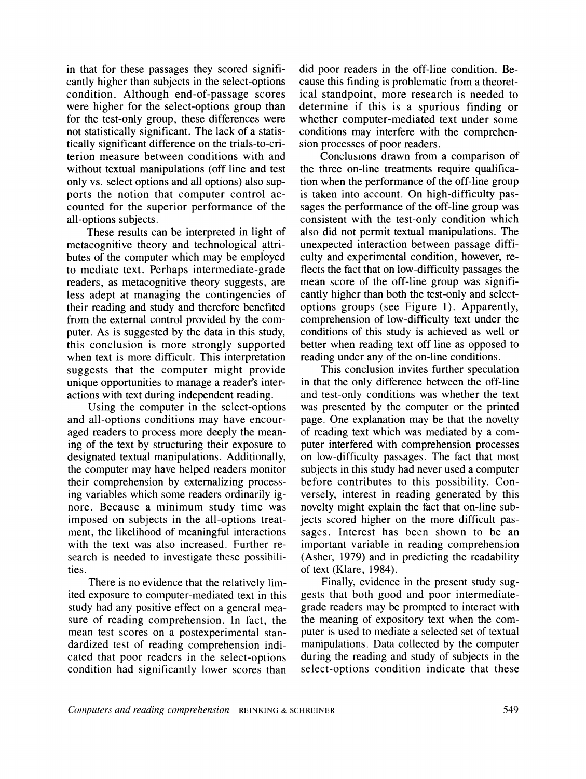**in that for these passages they scored significantly higher than subjects in the select-options condition. Although end-of-passage scores were higher for the select-options group than for the test-only group, these differences were not statistically significant. The lack of a statistically significant difference on the trials-to-criterion measure between conditions with and without textual manipulations (off line and test only vs. select options and all options) also supports the notion that computer control accounted for the superior performance of the all-options subjects.** 

**These results can be interpreted in light of metacognitive theory and technological attributes of the computer which may be employed to mediate text. Perhaps intermediate-grade readers, as metacognitive theory suggests, are less adept at managing the contingencies of their reading and study and therefore benefited from the external control provided by the computer. As is suggested by the data in this study, this conclusion is more strongly supported when text is more difficult. This interpretation suggests that the computer might provide unique opportunities to manage a reader's interactions with text during independent reading.** 

**Using the computer in the select-options and all-options conditions may have encouraged readers to process more deeply the meaning of the text by structuring their exposure to designated textual manipulations. Additionally, the computer may have helped readers monitor their comprehension by externalizing processing variables which some readers ordinarily ignore. Because a minimum study time was imposed on subjects in the all-options treatment, the likelihood of meaningful interactions with the text was also increased. Further research is needed to investigate these possibilities.** 

**There is no evidence that the relatively limited exposure to computer-mediated text in this study had any positive effect on a general measure of reading comprehension. In fact, the mean test scores on a postexperimental standardized test of reading comprehension indicated that poor readers in the select-options condition had significantly lower scores than**  **did poor readers in the off-line condition. Because this finding is problematic from a theoretical standpoint, more research is needed to determine if this is a spurious finding or whether computer-mediated text under some conditions may interfere with the comprehension processes of poor readers.** 

**Conclusions drawn from a comparison of the three on-line treatments require qualification when the performance of the off-line group is taken into account. On high-difficulty passages the performance of the off-line group was consistent with the test-only condition which also did not permit textual manipulations. The unexpected interaction between passage difficulty and experimental condition, however, reflects the fact that on low-difficulty passages the mean score of the off-line group was significantly higher than both the test-only and selectoptions groups (see Figure 1). Apparently, comprehension of low-difficulty text under the conditions of this study is achieved as well or better when reading text off line as opposed to reading under any of the on-line conditions.** 

**This conclusion invites further speculation in that the only difference between the off-line and test-only conditions was whether the text was presented by the computer or the printed page. One explanation may be that the novelty of reading text which was mediated by a computer interfered with comprehension processes on low-difficulty passages. The fact that most subjects in this study had never used a computer before contributes to this possibility. Conversely, interest in reading generated by this novelty might explain the fact that on-line subjects scored higher on the more difficult passages. Interest has been shown to be an important variable in reading comprehension (Asher, 1979) and in predicting the readability of text (Klare, 1984).** 

**Finally, evidence in the present study suggests that both good and poor intermediategrade readers may be prompted to interact with the meaning of expository text when the computer is used to mediate a selected set of textual manipulations. Data collected by the computer during the reading and study of subjects in the select-options condition indicate that these**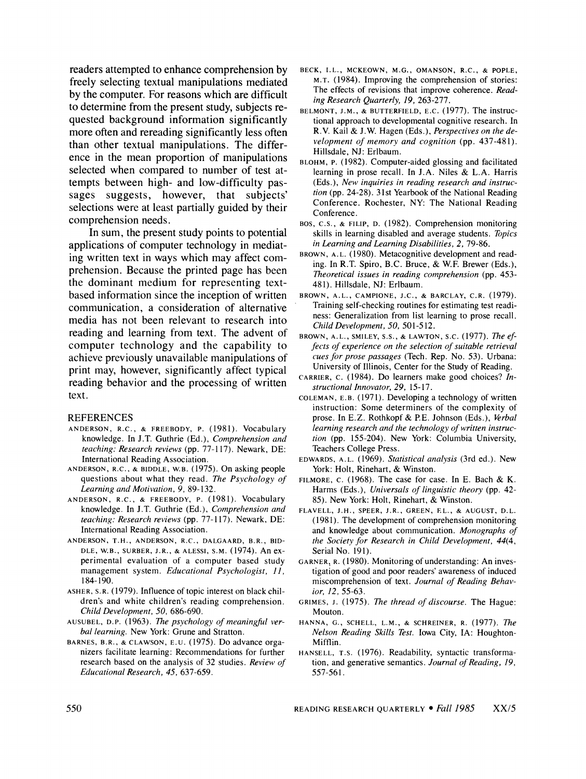**readers attempted to enhance comprehension by freely selecting textual manipulations mediated by the computer. For reasons which are difficult to determine from the present study, subjects requested background information significantly more often and rereading significantly less often than other textual manipulations. The difference in the mean proportion of manipulations selected when compared to number of test attempts between high- and low-difficulty passages suggests, however, that subjects' selections were at least partially guided by their comprehension needs.** 

**In sum, the present study points to potential applications of computer technology in mediating written text in ways which may affect comprehension. Because the printed page has been the dominant medium for representing textbased information since the inception of written communication, a consideration of alternative media has not been relevant to research into reading and learning from text. The advent of computer technology and the capability to achieve previously unavailable manipulations of print may, however, significantly affect typical reading behavior and the processing of written text.** 

#### **REFERENCES**

- **ANDERSON, R.C., & FREEBODY, P. (1981). Vocabulary knowledge. In J.T. Guthrie (Ed.), Comprehension and teaching: Research reviews (pp. 77-117). Newark, DE: International Reading Association.**
- **ANDERSON, R.C., & BIDDLE, W.B. (1975). On asking people questions about what they read. The Psychology of Learning and Motivation, 9, 89-132.**
- **ANDERSON, R.C., & FREEBODY, P. (1981). Vocabulary knowledge. In J.T. Guthrie (Ed.), Comprehension and teaching: Research reviews (pp. 77-117). Newark, DE: International Reading Association.**
- **ANDERSON, T.H., ANDERSON, R.C., DALGAARD, B.R., BID-DLE, W.B., SURBER, J.R., & ALESSI, S.M. (1974). An experimental evaluation of a computer based study management system. Educational Psychologist, 11, 184-190.**
- **ASHER, S.R. (1979). Influence of topic interest on black children's and white children's reading comprehension. Child Development, 50, 686-690.**
- **AUSUBEL, D.P. (1963). The psychology of meaningful verbal learning. New York: Grune and Stratton.**
- **BARNES, B.R., & CLAWSON, E.U. (1975). Do advance organizers facilitate learning: Recommendations for further research based on the analysis of 32 studies. Review of Educational Research, 45, 637-659.**
- **BECK, I.L., MCKEOWN, M.G., OMANSON, R.C., & POPLE, M.T. (1984). Improving the comprehension of stories: The effects of revisions that improve coherence. Reading Research Quarterly, 19, 263-277.**
- **BELMONT, J.M., & BUTTERFIELD, E.C. (1977). The instructional approach to developmental cognitive research. In R.V. Kail & J.W. Hagen (Eds.), Perspectives on the development of memory and cognition (pp. 437-481). Hillsdale, NJ: Erlbaum.**
- **BLOHM, P. (1982). Computer-aided glossing and facilitated learning in prose recall. In J.A. Niles & L.A. Harris (Eds.), New inquiries in reading research and instruction (pp. 24-28). 31st Yearbook of the National Reading Conference. Rochester, NY: The National Reading Conference.**
- **BOS, C.S., & FILIP, D. (1982). Comprehension monitoring skills in learning disabled and average students. Topics in Learning and Learning Disabilities, 2, 79-86.**
- **BROWN, A.L. (1980). Metacognitive development and reading. In R.T. Spiro, B.C. Bruce, & W.F. Brewer (Eds.), Theoretical issues in reading comprehension (pp. 453- 481). Hillsdale, NJ: Erlbaum.**
- **BROWN, A.L., CAMPIONE, J.C., & BARCLAY, C.R. (1979). Training self-checking routines for estimating test readiness: Generalization from list learning to prose recall. Child Development, 50, 501-512.**
- **BROWN, A.L., SMILEY, S.S., & LAWTON, S.C. (1977). The effects of experience on the selection of suitable retrieval cues for prose passages (Tech. Rep. No. 53). Urbana: University of Illinois, Center for the Study of Reading.**
- **CARRIER, C. (1984). Do learners make good choices? Instructional Innovator, 29, 15-17.**
- **COLEMAN, E.B. (1971). Developing a technology of written instruction: Some determiners of the complexity of prose. In E.Z. Rothkopf & PE. Johnson (Eds.), Verbal learning research and the technology of written instruction (pp. 155-204). New York: Columbia University, Teachers College Press.**
- **EDWARDS, A.L. (1969). Statistical analysis (3rd ed.). New York: Holt, Rinehart, & Winston.**
- **FILMORE, C. (1968). The case for case. In E. Bach & K. Harms (Eds.), Universals of linguistic theory (pp. 42- 85). New York: Holt, Rinehart, & Winston.**
- **FLAVELL, J.H., SPEER, J.R., GREEN, EL., & AUGUST, D.L. (1981). The development of comprehension monitoring and knowledge about communication. Monographs of the Society for Research in Child Development, 44(4, Serial No. 191).**
- **GARNER, R. (1980). Monitoring of understanding: An investigation of good and poor readers' awareness of induced miscomprehension of text. Journal of Reading Behavior, 12, 55-63.**
- **GRIMES, J. (1975). The thread of discourse. The Hague: Mouton.**
- **HANNA, G., SCHELL, L.M., & SCHREINER, R. (1977). The Nelson Reading Skills Test. Iowa City, IA: Houghton-Mifflin.**
- **HANSELL, T.S. (1976). Readability, syntactic transformation, and generative semantics. Journal of Reading, 19, 557-561.**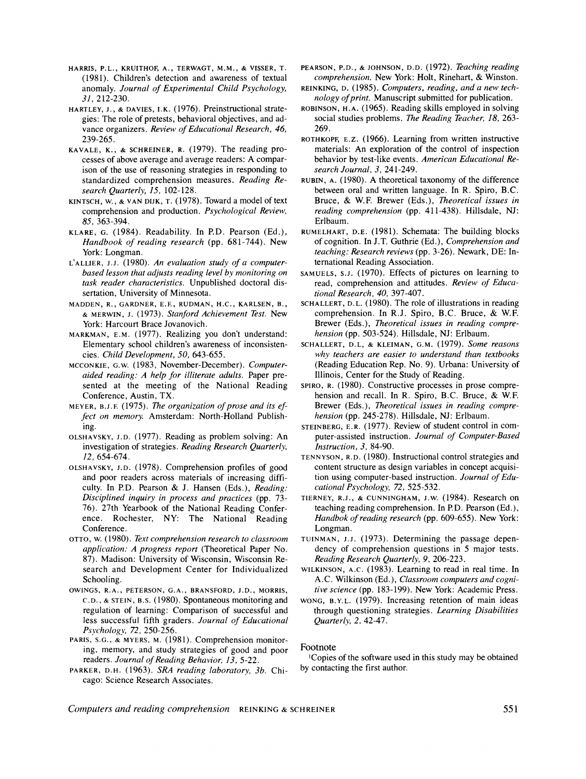- **HARRIS, P.L., KRUITHOF, A., TERWAGT, M.M., & VISSER, T. (1981). Children's detection and awareness of textual anomaly. Journal of Experimental Child Psychology, 31, 212-230.**
- **HARTLEY, J., & DAVIES, I.K. (1976). Preinstructional strategies: The role of pretests, behavioral objectives, and advance organizers. Review of Educational Research, 46, 239-265.**
- **KAVALE, K., & SCHREINER, R. (1979). The reading processes of above average and average readers: A comparison of the use of reasoning strategies in responding to standardized comprehension measures. Reading Research Quarterly, 15, 102-128.**
- **KINTSCH, W., & VAN DIJK, T. (1978). Toward a model of text comprehension and production. Psychological Review, 85, 363-394.**
- **KLARE, G. (1984). Readability. In P.D. Pearson (Ed.), Handbook of reading research (pp. 681-744). New York: Longman.**
- **L'ALLIER, J.J. (1980). An evaluation study of a computerbased lesson that adjusts reading level by monitoring on task reader characteristics. Unpublished doctoral dissertation, University of Minnesota.**
- **MADDEN, R., GARDNER, E.E, RUDMAN, H.C., KARLSEN, B., & MERWIN, J. (1973). Stanford Achievement Test. New York: Harcourt Brace Jovanovich.**
- **MARKMAN, E.M. (1977). Realizing you don't understand: Elementary school children's awareness of inconsistencies. Child Development, 50, 643-655.**
- **MCCONKIE, G.W. (1983, November-December). Computeraided reading: A help for illiterate adults. Paper presented at the meeting of the National Reading Conference, Austin, TX.**
- **MEYER, B.J.F. (1975). The organization of prose and its effect on memory. Amsterdam: North-Holland Publishing.**
- **OLSHAVSKY, J.D. (1977). Reading as problem solving: An investigation of strategies. Reading Research Quarterly, 12, 654-674.**
- **OLSHAVSKY, J.D. (1978). Comprehension profiles of good and poor readers across materials of increasing difficulty. In P.D. Pearson & J. Hansen (Eds.), Reading: Disciplined inquiry in process and practices (pp. 73- 76). 27th Yearbook of the National Reading Conference. Rochester, NY: The National Reading Conference.**
- **OTTO, W. (1980). Text comprehension research to classroom application: A progress report (Theoretical Paper No. 87). Madison: University of Wisconsin, Wisconsin Research and Development Center for Individualized Schooling.**
- **OWINGS, R.A., PETERSON, G.A., BRANSFORD, J.D., MORRIS, C.D., & STEIN, B.S. (1980). Spontaneous monitoring and regulation of learning: Comparison of successful and less successful fifth graders. Journal of Educational Psychology, 72, 250-256.**
- PARIS, S.G., & MYERS, M. (1981). Comprehension monitor**ing, memory, and study strategies of good and poor readers. Journal of Reading Behavior, 13, 5-22.**
- **PARKER, D.H. (1963). SRA reading laboratory, 3b. Chicago: Science Research Associates.**
- **PEARSON, P.D., & JOHNSON, D.D. (1972). Teaching reading comprehension. New York: Holt, Rinehart, & Winston.**
- **REINKING, D. (1985). Computers, reading, and a new technology ofprint. Manuscript submitted for publication.**
- **ROBINSON, H.A. (1965). Reading skills employed in solving social studies problems. The Reading Teacher, 18, 263- 269.**
- **ROTHKOPF, E.Z. (1966). Learning from written instructive materials: An exploration of the control of inspection behavior by test-like events. American Educational Research Journal, 3, 241-249.**
- **RUBIN, A. (1980). A theoretical taxonomy of the difference between oral and written language. In R. Spiro, B.C. Bruce, & W.F. Brewer (Eds.), Theoretical issues in reading comprehension (pp. 411-438). Hillsdale, NJ: Erlbaum.**
- **RUMELHART, D.E. (1981). Schemata: The building blocks of cognition. In J.T. Guthrie (Ed.), Comprehension and teaching: Research reviews (pp. 3-26). Newark, DE: International Reading Association.**
- **SAMUELS, S.J. (1970). Effects of pictures on learning to read, comprehension and attitudes. Review of Educational Research, 40, 397-407.**
- **SCHALLERT, D.L. (1980). The role of illustrations in reading comprehension. In R.J. Spiro, B.C. Bruce, & W.F. Brewer (Eds.), Theoretical issues in reading comprehension (pp. 503-524). Hillsdale, NJ: Erlbaum.**
- **SCHALLERT, D.L, & KLEIMAN, G.M. (1979). Some reasons why teachers are easier to understand than textbooks (Reading Education Rep. No. 9). Urbana: University of Illinois, Center for the Study of Reading.**
- **SPIRO, R. (1980). Constructive processes in prose comprehension and recall. In R. Spiro, B.C. Bruce, & W.E Brewer (Eds.), Theoretical issues in reading comprehension (pp. 245-278). Hillsdale, NJ: Erlbaum.**
- **STEINBERG, E.R. (1977). Review of student control in computer-assisted instruction. Journal of Computer-Based Instruction, 3, 84-90.**
- **TENNYSON, R.D. (1980). Instructional control strategies and content structure as design variables in concept acquisition using computer-based instruction. Journal of Educational Psychology, 72, 525-532.**
- **TIERNEY, R.J., & CUNNINGHAM, J.W. (1984). Research on teaching reading comprehension. In P.D. Pearson (Ed.), Handbok of reading research (pp. 609-655). New York: Longman.**
- **TUINMAN, J.J. (1973). Determining the passage dependency of comprehension questions in 5 major tests. Reading Research Quarterly, 9, 206-223.**
- **WILKINSON, A.C. (1983). Learning to read in real time. In A.C. Wilkinson (Ed.), Classroom computers and cognitive science (pp. 183-199). New York: Academic Press.**
- **WONG, B.Y.L. (1979). Increasing retention of main ideas through questioning strategies. Learning Disabilities Quarterly, 2, 42-47.**

#### **Footnote**

**'Copies of the software used in this study may be obtained by contacting the first author.** 

**Computers and reading comprehension REINKING & SCHREINER 551**